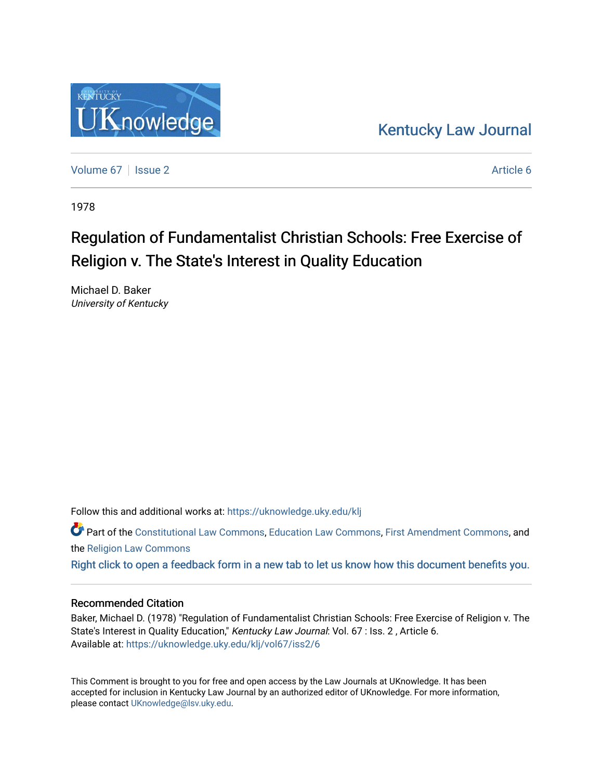## [Kentucky Law Journal](https://uknowledge.uky.edu/klj)

[Volume 67](https://uknowledge.uky.edu/klj/vol67) | [Issue 2](https://uknowledge.uky.edu/klj/vol67/iss2) Article 6

1978

# Regulation of Fundamentalist Christian Schools: Free Exercise of Religion v. The State's Interest in Quality Education

Michael D. Baker University of Kentucky

Follow this and additional works at: [https://uknowledge.uky.edu/klj](https://uknowledge.uky.edu/klj?utm_source=uknowledge.uky.edu%2Fklj%2Fvol67%2Fiss2%2F6&utm_medium=PDF&utm_campaign=PDFCoverPages)

Part of the [Constitutional Law Commons,](http://network.bepress.com/hgg/discipline/589?utm_source=uknowledge.uky.edu%2Fklj%2Fvol67%2Fiss2%2F6&utm_medium=PDF&utm_campaign=PDFCoverPages) [Education Law Commons,](http://network.bepress.com/hgg/discipline/596?utm_source=uknowledge.uky.edu%2Fklj%2Fvol67%2Fiss2%2F6&utm_medium=PDF&utm_campaign=PDFCoverPages) [First Amendment Commons,](http://network.bepress.com/hgg/discipline/1115?utm_source=uknowledge.uky.edu%2Fklj%2Fvol67%2Fiss2%2F6&utm_medium=PDF&utm_campaign=PDFCoverPages) and the [Religion Law Commons](http://network.bepress.com/hgg/discipline/872?utm_source=uknowledge.uky.edu%2Fklj%2Fvol67%2Fiss2%2F6&utm_medium=PDF&utm_campaign=PDFCoverPages) 

[Right click to open a feedback form in a new tab to let us know how this document benefits you.](https://uky.az1.qualtrics.com/jfe/form/SV_9mq8fx2GnONRfz7)

### Recommended Citation

Baker, Michael D. (1978) "Regulation of Fundamentalist Christian Schools: Free Exercise of Religion v. The State's Interest in Quality Education," Kentucky Law Journal: Vol. 67 : Iss. 2, Article 6. Available at: [https://uknowledge.uky.edu/klj/vol67/iss2/6](https://uknowledge.uky.edu/klj/vol67/iss2/6?utm_source=uknowledge.uky.edu%2Fklj%2Fvol67%2Fiss2%2F6&utm_medium=PDF&utm_campaign=PDFCoverPages)

This Comment is brought to you for free and open access by the Law Journals at UKnowledge. It has been accepted for inclusion in Kentucky Law Journal by an authorized editor of UKnowledge. For more information, please contact [UKnowledge@lsv.uky.edu.](mailto:UKnowledge@lsv.uky.edu)

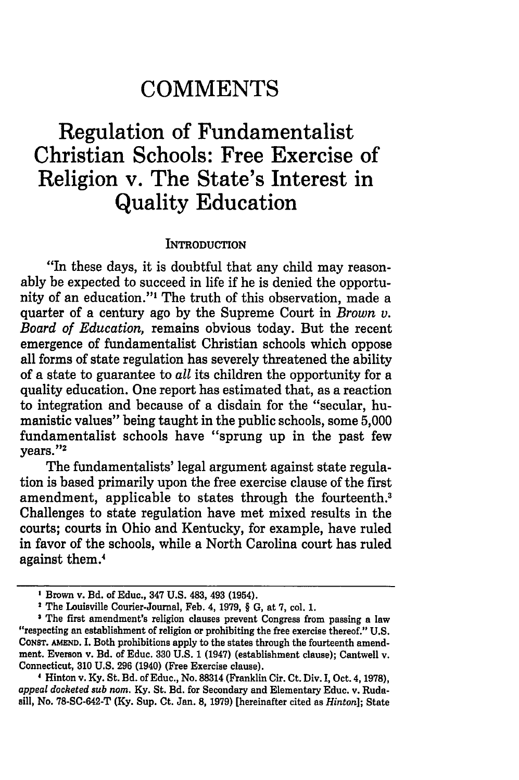## **COMMENTS**

## **Regulation of Fundamentalist Christian Schools: Free Exercise of Religion v. The State's Interest in Quality Education**

#### **INTRODUCTION**

"In these days, it is doubtful that any child may reasonably be expected to succeed in life if he is denied the opportunity of an education."' The truth of this observation, made a quarter of a century ago **by** the Supreme Court in *Brown v. Board of Education,* remains obvious today. But the recent emergence of fundamentalist Christian schools which oppose all forms of state regulation has severely threatened the ability of a state to guarantee to *all* its children the opportunity for a quality education. One report has estimated that, as a reaction to integration and because of a disdain for the "secular, humanistic values" being taught in the public schools, some **5,000** fundamentalist schools have "sprung up in the past few vears."<sup>2</sup>

The fundamentalists' legal argument against state regulation is based primarily upon the free exercise clause of the first amendment, applicable to states through the fourteenth.<sup>3</sup> Challenges to state regulation have met mixed results in the courts; courts in Ohio and Kentucky, for example, have ruled in favor of the schools, while a North Carolina court has ruled against them.'

Hinton v. Ky. St. Bd. of Educ., No. **88314** (Franklin Cir. Ct. Div. I, Oct. 4, 1978), *appeal docketed sub nom.* Ky. St. Bd. for Secondary and Elementary Educ. v. Rudasill, No. **78-SC-642-T** (Ky. Sup. Ct. Jan. **8,** 1979) [hereinafter cited as *Hinton];* State

Brown v. Bd. of Educ., 347 U.S. 483, 493 (1954).

<sup>&</sup>lt;sup>2</sup> The Louisville Courier-Journal, Feb. 4, 1979, § G, at 7, col. 1.

The first amendment's religion clauses prevent Congress from passing a law "respecting an establishment of religion or prohibiting the free exercise thereof." U.S. CONST. **AMEND.** I. Both prohibitions apply to the states through the fourteenth amendment. Everson v. Bd. of Educ. **330** U.S. 1 (1947) (establishment clause); Cantwell v. Connecticut, **310** U.S. 296 (1940) (Free Exercise clause).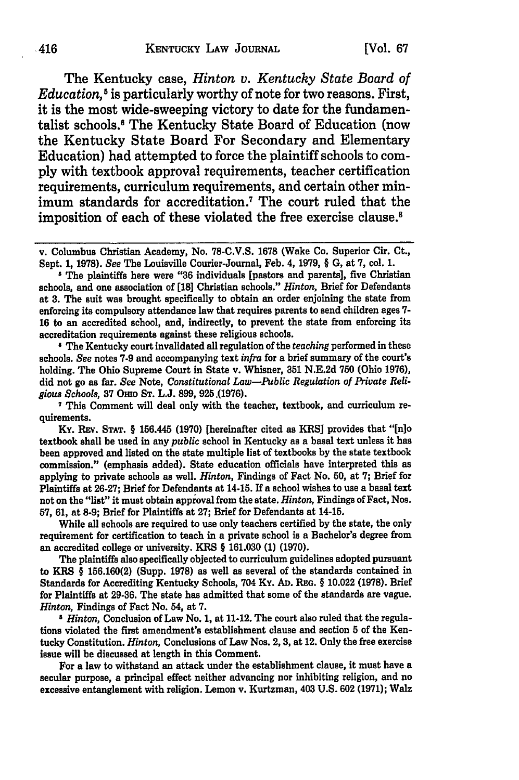The Kentucky case, *Hinton v. Kentucky State Board of Education, 5* is particularly worthy of note for two reasons. First, it is the most wide-sweeping victory to date for the fundamentalist schools.6 The Kentucky State Board of Education (now the Kentucky State Board For Secondary and Elementary Education) had attempted to force the plaintiff schools to comply with textbook approval requirements, teacher certification requirements, curriculum requirements, and certain other minimum standards for accreditation.<sup>7</sup> The court ruled that the imposition of each of these violated the free exercise clause.<sup>8</sup>

The Kentucky court invalidated all regulation of the *teaching* performed in these schools. *See* notes **7-9** and accompanying text *infra* for a brief summary of the court's holding. The Ohio Supreme Court in State v. Whisner, **351 N.E.2d 750** (Ohio **1976),** did not go as far. *See* Note, *Constitutional Law-Public Regulation of Private Religious Schools,* **37 Omo ST. L.J. 899, 925.(1976).**

**7** This Comment will deal only with the teacher, textbook, and curriculum requirements.

Ky. REv. **STAT.** § 156.445 **(1970)** [hereinafter cited as KRSJ provides that "[n]o textbook shall be used in any *public* school in Kentucky as a basal text unless **it** has been approved and listed on the state multiple list of textbooks **by** the state textbook commission." (emphasis added). State education officials have interpreted this as applying to private schools as well. *Hinton,* Findings of Fact No. **50,** at **7;** Brief for Plaintiffs at **26-27;** Brief for Defendants at 14-15. If a school wishes to use a basal text not on the "list" it must obtain approval from the state. *Hinton,* Findings of Fact, Nos. **57, 61,** at **8-9;** Brief for Plaintiffs at **27;** Brief for Defendants at 14-15.

While all schools are required to use only teachers certified **by** the state, the only requirement for certification to teach in a private school is a Bachelor's degree from an accredited college or university. KRS § **161.030 (1) (1970).**

The plaintiffs also specifically objected to curriculum guidelines adopted pursuant to KRS § **156.160(2)** (Supp. **1978)** as well as several of the standards contained in Standards for Accrediting Kentucky Schools, 704 Ky. **AD. REG.** § 10.022 **(1978).** Brief for Plaintiffs at **29-36.** The state has admitted that some of the standards are vague. *Hinton,* Findings of Fact No. 54, at **7.**

**3** *Hinton,* Conclusion of Law No. **1,** at 11-12. The court also ruled that the regulations violated the first amendment's establishment clause and section **5** of the Kentucky Constitution. *Hinton,* Conclusions of Law Nos. 2, **3,** at 12. Only the free exercise issue will be discussed at length in this Comment.

For a law to withstand an attack under the establishment clause, it must have a secular purpose, a principal effect neither advancing nor inhibiting religion, and no excessive entanglement with religion. Lemon v. Kurtzman, 403 **U.S. 602 (1971);** Walz

v. Columbus Christian Academy, No. **78-C.V.S.** 1678 (Wake Co. Superior Cir. Ct., Sept. **1, 1978).** *See* The Louisville Courier-Journal, Feb. 4, **1979,** § **G,** at **7,** col. **1.**

<sup>&#</sup>x27; The plaintiffs here were **"36** individuals [pastors and parents], five Christian schools, and one association of **[18]** Christian schools." *Hinton,* Brief for Defendants at **3.** The suit was brought specifically to obtain an order enjoining the state from enforcing its compulsory attendance law that requires parents to send children ages **7- 16** to an accredited school, and, indirectly, to prevent the state from enforcing its accreditation requirements against these religious schools.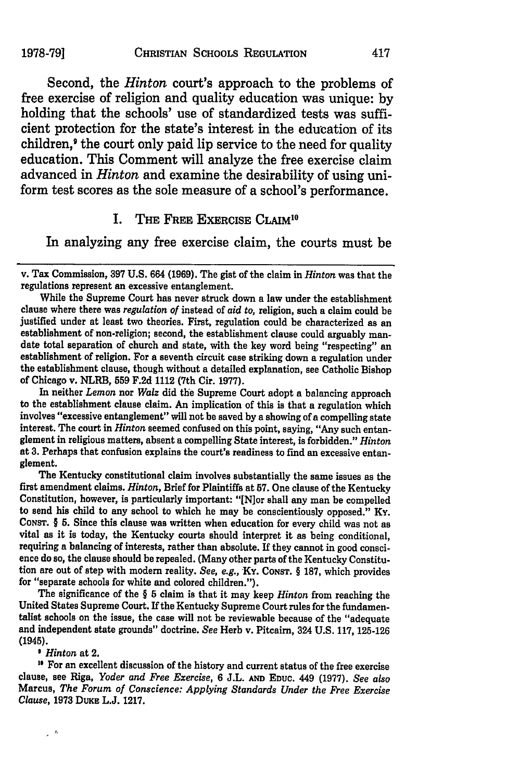Second, the *Hinton* court's approach to the problems of free exercise of religion and quality education was unique: by holding that the schools' use of standardized tests was sufficient protection for the state's interest in the education of its children,' the court only paid lip service to the need for quality education. This Comment will analyze the free exercise claim advanced in *Hinton* and examine the desirability of using uniform test scores as the sole measure of a school's performance.

#### **I.** THE FREE EXERCISE CLAIM"

In analyzing any free exercise claim, the courts must be

While the Supreme Court has never struck down a law under the establishment clause where there was *regulation of* instead of *aid to,* religion, such a claim could be justified under at least two theories. First, regulation could be characterized as an establishment of non-religion; second, the establishment clause could arguably mandate total separation of church and state, with the key word being "respecting" an establishment of religion. For a seventh circuit case str the establishment clause, though without a detailed explanation, see Catholic Bishop of Chicago v. NLRB, **559 F.2d** 1112 (7th Cir. **1977).**

In neither *Lemon* nor *Walz* did the Supreme Court adopt a balancing approach to the establishment clause claim. An implication of this is that a regulation which involves "excessive entanglement" will not be saved **by** a showing of a compelling state interest. The court in *Hinton* seemed confused on this point, saying, "Any such entanglement in religious matters, absent a compelling State interest, is forbidden." *Hinton* at **3.** Perhaps that confusion explains the court's readiness to find an excessive entanglement.

The Kentucky constitutional claim involves substantially the same issues as the first amendment claims. *Hinton,* Brief for Plaintiffs at **57.** One clause of the Kentucky Constitution, however, is particularly important: "[N]or shall any man be compelled to send his child to any school to which he may be conscientiously opposed." Ky. **CONST.** § **5.** Since this clause was written when education for every child was not as vital as it is today, the Kentucky courts should interpret it as being conditional, requiring a balancing of interests, rather than absolute. If they cannot in good conscience do so, the clause should be repealed. (Many other parts of the Kentucky Constitution are out of step with modem reality. *See, e.g.,* **Ky. CONST.** § **187,** which provides for "separate schools for white and colored children.").

The significance of the § **5** claim is that it may keep *Hinton* from reaching the United States Supreme Court. If the Kentucky Supreme Court rules for the fundamentalist schools on the issue, the case will not be reviewable because of the "adequate and independent state grounds" doctrine. *See* Herb v. Pitcairn, 324 **U.S. 117, 125-126** (1945).

' *Hinton* at 2.

 $\sim$   $\sigma$ 

' For an excellent discussion of the history and current status of the free exercise clause, see Riga, *Yoder and Free Exercise,* **6 J.L. AND EDUC. 449 (1977).** *See also* Marcus, *The Forum of Conscience: Applying Standards Under the Free Exercise Clause,* **1973 DUKE L.J. 1217.**

v. Tax Commission, **397** U.S. 664 (1969). The gist of the claim in *Hinton* was that the regulations represent an excessive entanglement.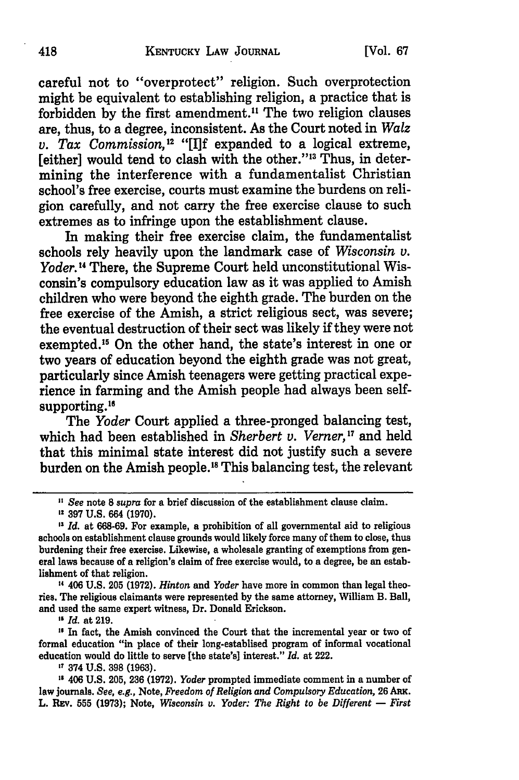careful not to "overprotect" religion. Such overprotection might be equivalent to establishing religion, a practice that is forbidden **by** the first amendment." The two religion clauses are, thus, to a degree, inconsistent. As the Court noted in *Walz v. Tax Commission*,<sup>12</sup> "[I]f expanded to a logical extreme, [either] would tend to clash with the other."<sup>13</sup> Thus, in determining the interference with a fundamentalist Christian school's free exercise, courts must examine the burdens on religion carefully, and not carry the free exercise clause to such extremes as to infringe upon the establishment clause.

In making their free exercise claim, the fundamentalist schools rely heavily upon the landmark case of *Wisconsin v.* Yoder.<sup>14</sup> There, the Supreme Court held unconstitutional Wisconsin's compulsory education law as it was applied to Amish children who were beyond the eighth grade. The burden on the free exercise of the Amish, a strict religious sect, was severe; the eventual destruction of their sect was likely **if** they were not exempted.<sup>15</sup> On the other hand, the state's interest in one or two years of education beyond the eighth grade was not great, particularly since Amish teenagers were getting practical experience in farming and the Amish people had always been selfsupporting.<sup>16</sup>

The *Yoder* Court applied a three-pronged balancing test, which had been established in *Sherbert v. Verner, <sup>17</sup>*and held that this minimal state interest did not justify such a severe burden on the Amish people.<sup>18</sup> This balancing test, the relevant

**1'** 406 **U.S. 205 (1972).** *Hinton* and *Yoder* have more in common than legal theo**ries.** The religious claimants were represented **by** the same attorney, William B. Ball, and used the same expert witness, Dr. Donald Erickson.

*"Id.* at **219.**

**,** In fact, the Amish convinced the Court that the incremental year or two of formal education "in place of their long-establised program of informal vocational education would do little to serve [the state's] interest." *Id.* at 222.

**17** 374 **U.S. 398 (1963).**

**Is** 406 **U.S. 205, 236 (1972).** *Yoder* prompted immediate comment in a number of law journals. *See, e.g.,* Note, *Freedom of Religion and Compulsory Education,* **26 ARK.** L. REV. **555 (1973);** Note, *Wisconsin v. Yoder: The Right to be Different* **-** *First*

**<sup>&</sup>quot;** *See* note **8** *supra* for a brief discussion of the establishment clause claim.

<sup>12</sup> **397 U.S.** 664 **(1970).**

**<sup>13</sup>***Id.* at **668-69.** For example, a prohibition of all governmental aid to religious schools on establishment clause grounds would likely force many of them to close, thus burdening their free exercise. Likewise, a wholesale granting of exemptions from general laws because of a religion's claim of free exercise would, to a degree, be an establishment of that religion.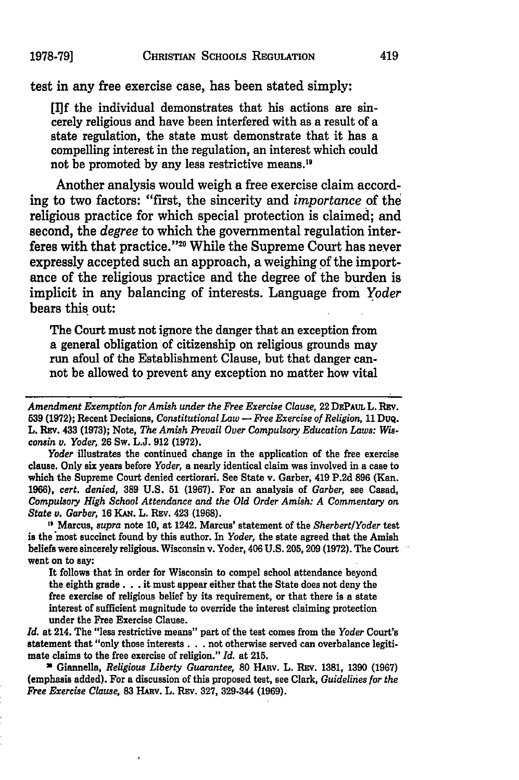test in any free exercise case, has been stated simply:

**[I]f** the individual demonstrates that his actions are sincerely religious and have been interfered with as a result of a state regulation, the state must demonstrate that it has a compelling interest in the regulation, an interest which could not be promoted **by** any less restrictive means."

Another analysis would weigh a free exercise claim according to two factors: "first, the sincerity and *importance* of the religious practice for which special protection is claimed; and second, the *degree* to which the governmental regulation interferes with that practice."<sup>20</sup> While the Supreme Court has never expressly accepted such an approach, a weighing **of** the importance of the religious practice and the degree of the burden is implicit in any balancing of interests. Language from *Yoder* bears this out:

The Court must not ignore the danger that an exception from a general obligation of citizenship on religious grounds may run afoul of the Establishment Clause, but that danger cannot be allowed to prevent any exception no matter how vital

*Amendment Exemption for Amish under the Free Exercise Clause,* 22 **DEPAuL L.** Rsv. **539 (1972);** Recent Decisions, *Constitutional Law* **-** *Free Exercise of Religion,* **11** DuQ. L. REv. 433 **(1973);** Note, *The Amish Prevail Over Compulsory Education Laws: Wisconsin v. Yoder,* **26** Sw. **L.J. 912 (1972).**

*Yoder* illustrates the continued change in the application of the free exercise clause. Only six years before *Yoder,* a nearly identical claim was involved in a case to which the Supreme Court denied certiorari. See State v. Garber, 419 **P.2d 896** (Kan. **1966),** *cert. denied,* **389 U.S. 51 (1967).** For an analysis of *Garber,* see Casad, *Compulsory High School Attendance and the Old Order Amish: A Commentary on State v. Garber,* **16 KAN. L. Rav. 423 (1968).**

" Marcus, *supra* note **10,** at 1242. Marcus' statement of the *SherbertlYoder* test is the most succinct found **by** this author. In *Yoder,* the state agreed that the Amish beliefs were sincerely religious. Wisconsin v. Yoder, 406 **U.S. 205, 209 (1972).** The Court went on to say:

It follows that in order for Wisconsin to compel school attendance beyond the eighth grade. **. .** it must appear either that the State does not deny the free exercise of religious belief **by** its requirement, or that there is a state interest of sufficient magnitude to override the interest claiming protection under the Free Exercise Clause.

*Id.* at 214. The "less restrictive means" part of the test comes from the *Yoder* Court's statement that "only those interests **...** not otherwise served can overbalance legitimate claims to the free exercise of religion." *Id.* at **215.**

**"** Giannella, *Religious Liberty Guarantee,* **80** HARv. L. Ray. **1381, 1390 (1967)** (emphasis added). For a discussion of this proposed test, see Clark, *Guideliies for the Free Exercise Clause,* **83** HAnv. L. **REv. 327,** 329-344 **(1969).**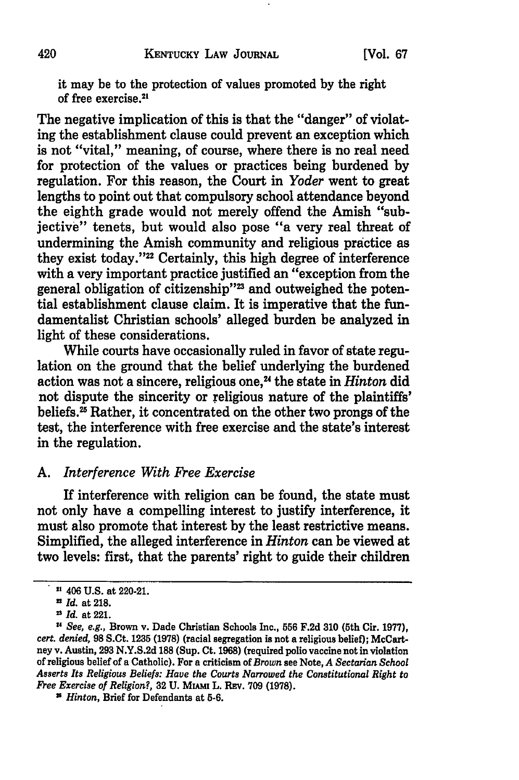it may be to the protection of values promoted **by** the right of free exercise. <sup>21</sup>

The negative implication of this is that the "danger" of violating the establishment clause could prevent an exception which is not "vital," meaning, of course, where there is no real need for protection of the values or practices being burdened **by** regulation. For this reason, the Court in *Yoder* went to great lengths to point out that compulsory school attendance beyond the eighth grade would not merely offend the Amish "subjective" tenets, but would also pose "a very real threat of undermining the Amish community and religious practice as they exist today."<sup>22</sup> Certainly, this high degree of interference with a very important practice justified an "exception from the general obligation of citizenship"<sup>23</sup> and outweighed the potential establishment clause claim. It is imperative that the fundamentalist Christian schools' alleged burden be analyzed in light of these considerations.

While courts have occasionally ruled in favor of state regulation on the ground that the belief underlying the burdened action was not a sincere, religious one.<sup>24</sup> the state in *Hinton* did not dispute the sincerity or religious nature of the plaintiffs' beliefs.<sup>25</sup> Rather, it concentrated on the other two prongs of the test, the interference with free exercise and the state's interest in the regulation.

#### *A. Interference With Free Exercise*

If interference with religion can be found, the state must not only have a compelling interest to justify interference, it must also promote that interest by the least restrictive means. Simplified, the alleged interference in *Hinton* can be viewed at two levels: first, that the parents' right to guide their children

**<sup>21</sup>**406 U.S. at 220-21.

*n Id.* at 218.

<sup>2</sup> *Id.* at 221.

*u See, e.g.,* Brown v. Dade Christian Schools Inc., **556 F.2d 310** (5th Cir. **1977),** *cert. denied,* **98** S.Ct. **1235 (1978)** (racial segregation is not a religious belief); McCartney v. Austin, **293 N.Y.S.2d 188** (Sup. Ct. **1968)** (required polio vaccine not in violation of religious belief of a Catholic). For a criticism of *Brown* see Note, *A Sectarian School* Asserts *Its Religious Beliefs: Have the Courts Narrowed the Constitutional Right to Free Exercise of Religion?,* **32 U. MIum** L. REv. **709 (1978).**

<sup>2</sup> *Hinton,* Brief for Defendants at **5-6.**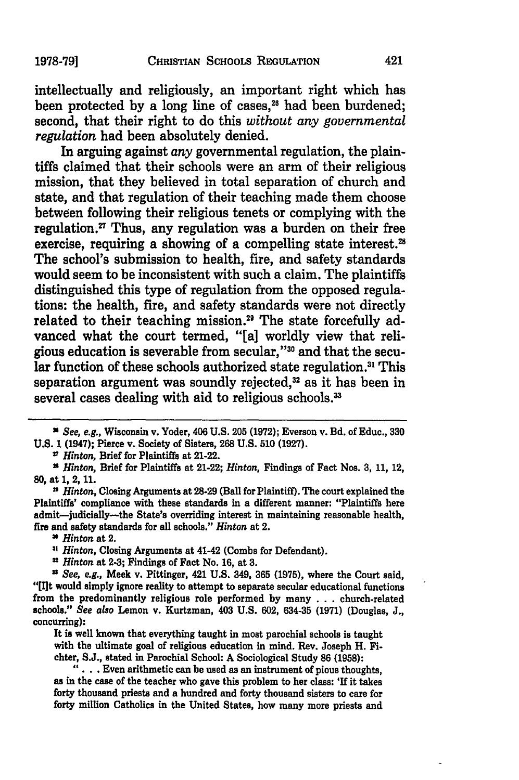**1978-79]**

intellectually and religiously, an important right which has been protected by a long line of cases,<sup>26</sup> had been burdened; second, that their right to do this *without any governmental regulation* had been absolutely denied.

In arguing against *any* governmental regulation, the plaintiffs claimed that their schools were an arm of their religious mission, that they believed in total separation of church and state, and that regulation of their teaching made them choose between following their religious tenets or complying with the regulation. $\mathbf{F}$  Thus, any regulation was a burden on their free exercise, requiring a showing of a compelling state interest.<sup>28</sup> The school's submission to health, fire, and safety standards would seem to be inconsistent with such a claim. The plaintiffs distinguished this type of regulation from the opposed regulations: the health, fire, and safety standards were not directly related to their teaching mission.<sup>29</sup> The state forcefully advanced what the court termed, "[a] worldly view that religious education is severable from secular,"<sup>30</sup> and that the secular function of these schools authorized state regulation.<sup>31</sup> This separation argument was soundly rejected, $32$  as it has been in several cases dealing with aid to religious schools.<sup>33</sup>

2 *Hinton,* Brief for Plaintiffs at 21-22.

*9 Hinton,* Brief for Plaintiffs at 21-22; *Hinton,* Findings of Fact **Nos. 3, 11,** 12, **80,** at **1,** 2, **11.**

n *Hinton,* Closing Arguments at **28-29** (Ball for Plaintiff). The court explained the Plaintiffs' compliance with these standards in a different manner: "Plaintiffs here admit-judicially-the State's overriding interest in maintaining reasonable health, fire and safety standards for all schools." *Hinton* at 2.

*Hinton* at 2.

<sup>11</sup> *Hinton*, Closing Arguments at 41-42 (Combs for Defendant).

**n** *Hinton* at **2-3;** Findings of Fact No. **16,** at **3.**

*" See, e.g.,* Meek v. Pittinger, 421 **U.S.** 349, **365 (1975),** where the Court said, **"lit** would simply ignore reality to attempt to separate secular educational functions from the predominantly religious role performed **by** many **. ..**church-related schools." *See* also **Lemon** v. Kurtzman, 403 **U.S. 602, 634-35 (1971)** (Douglas, **J.,** concurring):

It is well known that everything taught in most parochial schools is taught with the ultimate goal of religious education in mind. Rev. Joseph H. Fichter, **S.J.,** stated in Parochial School: **A** Sociological Study **86 (1958):**

**".... .** Even arithmetic can be used as an instrument of pious thoughts, as in the case of the teacher who gave this problem to her class: **'If** it takes forty thousand priests and a hundred and forty thousand sisters to care for forty million Catholics in the United States, how many more priests and

*N See, e.g.,* Wisconsin v. Yoder, 406 **U.S. 205 (1972);** Everson v. Bd. of Educ., **330 U.S. 1** (1947); Pierce v. Society of Sisters, **268 U.S. 510 (1927).**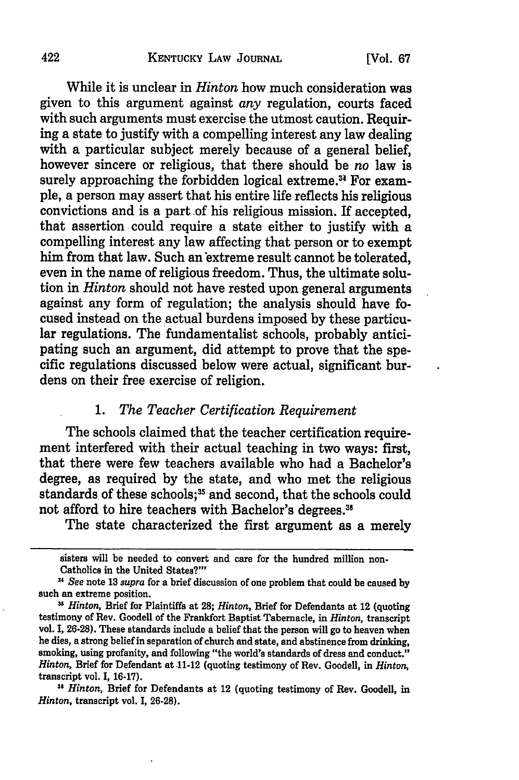#### **KENTUCKY** LAW **JOURNAL**

While it is unclear in *Hinton* how much consideration was given to this argument against *any* regulation, courts faced with such arguments must exercise the utmost caution. Requiring a state to justify with a compelling interest any law dealing with a particular subject merely because of a general belief, however sincere or religious, that there should be *no* law is surely approaching the forbidden logical extreme.<sup>34</sup> For example, a person may assert that his entire life reflects his religious convictions and is a part of his religious mission. If accepted, that assertion could require a state either to justify with a compelling interest any law affecting that person or to exempt him from that law. Such an extreme result cannot be tolerated, even in the name of religious freedom. Thus, the ultimate solution in *Hinton* should not have rested upon general arguments against any form of regulation; the analysis should have focused instead on the actual burdens imposed by these particular regulations. The fundamentalist schools, probably anticipating such an argument, did attempt to prove that the specific regulations discussed below were actual, significant burdens on their free exercise of religion.

## *1. The Teacher Certification Requirement*

The schools claimed that the teacher certification requirement interfered with their actual teaching in two ways: first, that there were few teachers available who had a Bachelor's degree, as required by the state, and who met the religious standards of these schools;<sup>35</sup> and second, that the schools could not afford to hire teachers with Bachelor's degrees."

The state characterized the first argument as a merely

sisters will be needed to convert and care for the hundred million non-Catholics in the United States?'

*<sup>1</sup> See* note **13** *supra* for a brief discussion of one problem that could be caused **by** such an extreme position.

<sup>&</sup>lt;sup>35</sup> *Hinton*, Brief for Plaintiffs at 28; *Hinton*, Brief for Defendants at 12 (quoting testimony of Rev. Goodell of the Frankfort Baptist Tabernacle, in *Hinton,* transcript vol. **I, 26-28).** These standards include a belief that the person will go to heaven when he dies, a strong belief in separation of church and state, and abstinence from drinking, smoking, using profanity, and following "the world's standards of dress and conduct." *Hinton,* Brief for Defendant at 11-12 (quoting testimony of Rev. Goodell, in *Hinton,* transcript vol. **I, 16-17).**

**<sup>31</sup>***Hinton,* Brief for Defendants at 12 (quoting testimony of Rev. Goodell, in *Hinton,* transcript vol. **I, 26-28).**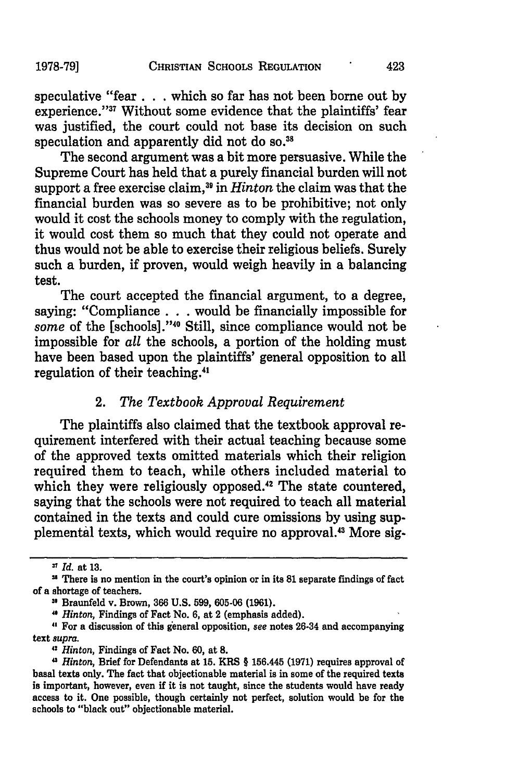speculative "fear. **. .** which so far has not been borne out by experience."<sup>37</sup> Without some evidence that the plaintiffs' fear was justified, the court could not base its decision on such speculation and apparently did not do so.<sup>38</sup>

The second argument was a bit more persuasive. While the Supreme Court has held that a purely financial burden will not support a free exercise claim,<sup>39</sup> in *Hinton* the claim was that the financial burden was so severe as to be prohibitive; not only would it cost the schools money to comply with the regulation, it would cost them so much that they could not operate and thus would not be able to exercise their religious beliefs. Surely such a burden, if proven, would weigh heavily in a balancing test.

The court accepted the financial argument, to a degree, saying: "Compliance . . . would be financially impossible for some of the [schools]."<sup>40</sup> Still, since compliance would not be impossible for *all* the schools, a portion of the holding must have been based upon the plaintiffs' general opposition to all regulation of their teaching.<sup>41</sup>

### 2. *The Textbook Approval Requirement*

The plaintiffs also claimed that the textbook approval requirement interfered with their actual teaching because some of the approved texts omitted materials which their religion required them to teach, while others included material to which they were religiously opposed.<sup>42</sup> The state countered, saying that the schools were not required to teach all material contained in the texts and could cure omissions by using supplemental texts, which would require no approval.43 More sig-

*"Hinton,* Findings of Fact No. 6, at 2 (emphasis added).

**'1** For a discussion of this general opposition, *see* notes 26-34 and accompanying text *supra.*

*"Hinton,* Findings of Fact No. 60, at **8.**

**<sup>&</sup>quot;** *Id.* at 13.

**n** There is no mention in the court's opinion or in its **81** separate findings of fact of a shortage of teachers.

**<sup>&</sup>quot;** Braunfeld v. Brown, **366** U.S. 599, 605-06 (1961).

<sup>&</sup>quot; *Hinton,* Brief for Defendants at **15.** KRS § 156.445 (1971) requires approval of basal texts only. The fact that objectionable material is in some of the required texts is important, however, even if it is not taught, since the students would have ready access to it. One possible, though certainly not perfect, solution would be for the schools to "black out" objectionable material.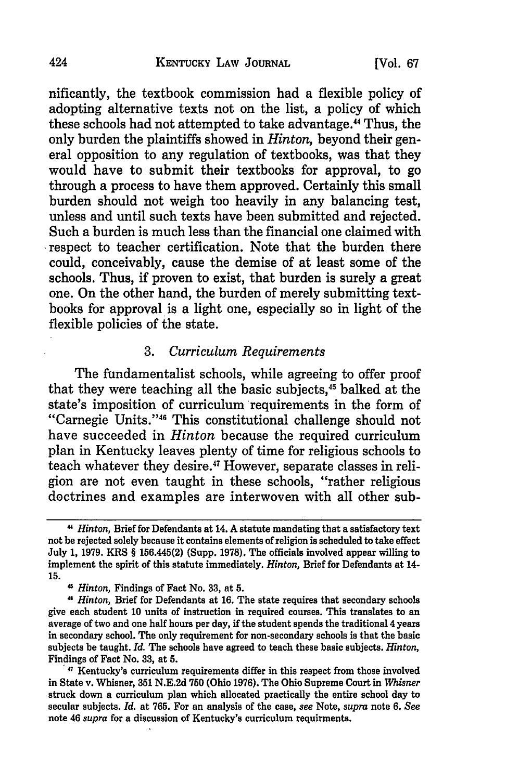nificantly, the textbook commission had a flexible policy of adopting alternative texts not on the list, a policy of which these schools had not attempted to take advantage." Thus, the only burden the plaintiffs showed in *Hinton,* beyond their general opposition to any regulation of textbooks, was that they would have to submit their textbooks for approval, to go through a process to have them approved. Certainly this small burden should not weigh too heavily in any balancing test, unless and until such texts have been submitted and rejected. Such a burden is much less than the financial one claimed with respect to teacher certification. Note that the burden there could, conceivably, cause the demise of at least some of the schools. Thus, if proven to exist, that burden is surely a great one. On the other hand, the burden of merely submitting textbooks for approval is a light one, especially so in light of the flexible policies of the state.

#### 3. *Curriculum Requirements*

The fundamentalist schools, while agreeing to offer proof that they were teaching all the basic subjects,<sup>45</sup> balked at the state's imposition of curriculum requirements in the form of "Carnegie Units."46 This constitutional challenge should not have succeeded in *Hinton* because the required curriculum plan in Kentucky leaves plenty of time for religious schools to teach whatever they desire.47 However, separate classes in religion are not even taught in these schools, "rather religious doctrines and examples are interwoven with all other sub-

**<sup>&</sup>quot;** *Hinton,* Brief for Defendants at 14. A statute mandating that a satisfactory text not be rejected solely because it contains elements of religion is scheduled to take effect July 1, 1979. KRS § 156.445(2) (Supp. 1978). The officials involved appear willing to implement the spirit of this statute immediately. *Hinton,* Brief for Defendants at 14- 15.

*<sup>4&</sup>quot; Hinton,* Findings of Fact No. **33,** at 5.

*<sup>11</sup> Hinton,* Brief for Defendants at 16. The state requires that secondary schools give each student **10** units of instruction in required courses. This translates to an average of two and one half hours per day, if the student spends the traditional 4 years in secondary school. The only requirement for non-secondary schools is that the basic subjects be taught. *Id.* The schools have agreed to teach these basic subjects. *Hinton,* Findings of Fact No. **33,** at **5.**

<sup>&#</sup>x27;47 Kentucky's curriculum requirements differ in this respect from those involved in State v. Whisner, **351 N.E.2d 750** (Ohio **1976).** The Ohio Supreme Court in *Whisner* struck down a curriculum plan which allocated practically the entire school day **to** secular subjects. *Id.* at **765.** For an analysis of the case, *see* Note, *supra* note **6.** *See* note 46 *supra* for a discussion of Kentucky's curriculum requirments.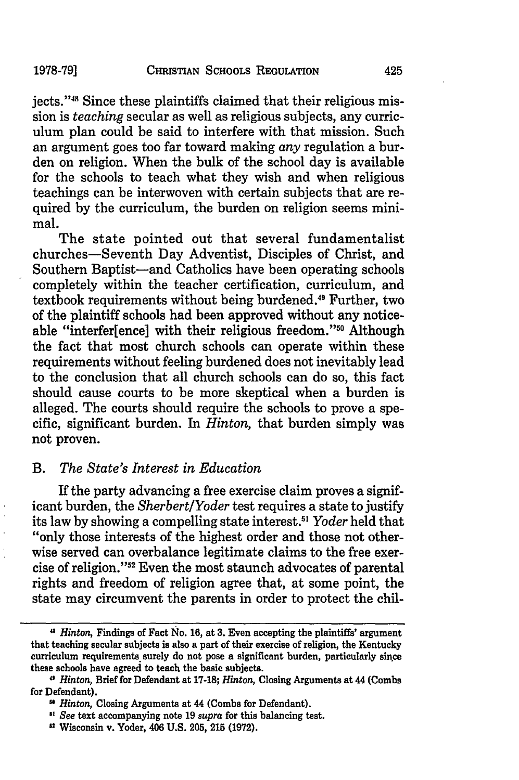jects."48 Since these plaintiffs claimed that their religious mission is *teaching* secular as well as religious subjects, any curriculum plan could be said to interfere with that mission. Such an argument goes too far toward making *any* regulation a burden on religion. When the bulk of the school day is available for the schools to teach what they wish and when religious teachings can be interwoven with certain subjects that are required by the curriculum, the burden on religion seems minimal.

The state pointed out that several fundamentalist churches-Seventh Day Adventist, Disciples of Christ, and Southern Baptist-and Catholics have been operating schools completely within the teacher certification, curriculum, and textbook requirements without being burdened.<sup>49</sup> Further, two of the plaintiff schools had been approved without any noticeable "interfer[ence] with their religious freedom."<sup>50</sup> Although the fact that most church schools can operate within these requirements without feeling burdened does not inevitably lead to the conclusion that all church schools can do so, this fact should cause courts to be more skeptical when a burden is alleged. The courts should require the schools to prove a specific, significant burden. In *Hinton,* that burden simply was not proven.

#### *B. The State's Interest in Education*

If the party advancing a free exercise claim proves a significant burden, the *Sherbert/Yoder* test requires a state to justify its law by showing a compelling state interest.€5 *Yoder* held that "only those interests of the highest order and those not otherwise served can overbalance legitimate claims to the free exercise of religion."52 Even the most staunch advocates of parental rights and freedom of religion agree that, at some point, the state may circumvent the parents in order to protect the chil-

*<sup>&</sup>quot; Hinton,* Findings of Fact No. **16,** at **3.** Even accepting the plaintiffs' argument that teaching secular subjects is also a part of their exercise of religion, the Kentucky curriculum requirements surely do not pose a significant burden, particularly since these schools have agreed to teach the basic subjects.

*<sup>&</sup>quot; Hinton,* Brief for Defendant at **17-18;** *Hinton,* Closing Arguments at 44 (Combs for Defendant).

*Hinton,* Closing Arguments at 44 (Combs for Defendant).

<sup>&</sup>quot; See text accompanying note **19** *supra* for this balancing test.

Wisconsin v. Yoder, 406 **U.S. 205,** 215 **(1972).**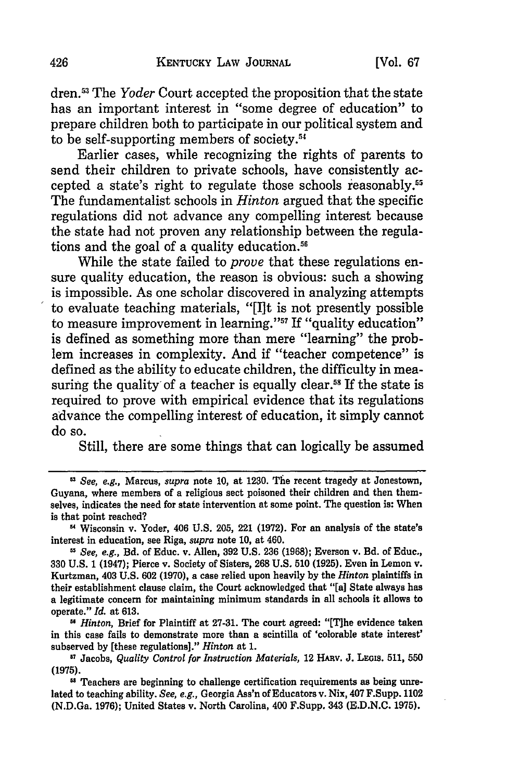dren.5 " The *Yoder* Court accepted the proposition that the state has an important interest in "some degree of education" to prepare children both to participate in our political system and to be self-supporting members of society.<sup>54</sup>

Earlier cases, while recognizing the rights of parents to send their children to private schools, have consistently accepted a state's right to regulate those schools reasonably. **s** The fundamentalist schools in *Hinton* argued that the specific regulations did not advance any compelling interest because the state had not proven any relationship between the regulations and the goal of a quality education.<sup>56</sup>

While the state failed to *prove* that these regulations ensure quality education, the reason is obvious: such a showing is impossible. As one scholar discovered in analyzing attempts to evaluate teaching materials, "[I]t is not presently possible to measure improvement in learning."<sup>57</sup> If "quality education" is defined as something more than mere "learning" the problem increases in complexity. And if "teacher competence" is defined as the ability to educate children, the difficulty in measuring the quality of a teacher is equally clear.<sup>58</sup> If the state is required to prove with empirical evidence that its regulations advance the compelling interest of education, it simply cannot do so.

Still, there are some things that can logically be assumed

*m Hinton,* Brief for Plaintiff at **27-31.** The court agreed: "[Tihe evidence taken in this case fails to demonstrate more than a scintilla of 'colorable state interest' subserved **by** [these regulations]." *Hinton* at **1.**

*See, e.g.,* Marcus, *supra* note **10,** at **1230. The** recent tragedy at Jonestown, Guyana, where members of a religious sect poisoned their children and then themselves, indicates the need for state intervention at some point. The question is: When is that point reached?

**<sup>&</sup>quot;** Wisconsin v. Yoder, 406 **U.S. 205,** 221 **(1972).** For an analysis of the state's interest in education, see Riga, *supra* note **10,** at 460.

*uSee, e.g.,* Bd. of Educ. v. Allen, **392 U.S. 236 (1968);** Everson v. Bd. **of** Educ., **330 U.S. 1** (1947); Pierce v. Society of Sisters, **268 U.S. 510 (1925).** Even in Lemon v. Kurtzman, 403 **U.S. 602 (1970),** a case relied upon heavily **by** the *Hinton* plaintiffs in their establishment clause claim, the Court acknowledged that "[a] State always has a legitimate concern for maintaining minimum standards in all schools it allows to operate." *Id.* at **613.**

**<sup>57</sup>** Jacobs, *Quality Control for Instruction Materials,* 12 HARv. **J.** LEois. **511, 550 (1975).**

<sup>&</sup>lt;sup>58</sup> Teachers are beginning to challenge certification requirements as being unrelated to teaching ability. *See, e.g.,* Georgia Ass'n of Educators v. Nix, 407 F.Supp. 1102 (N.D.Ga. **1976);** United States v. North Carolina, 400 F.Supp. 343 **(E.D.N.C. 1975).**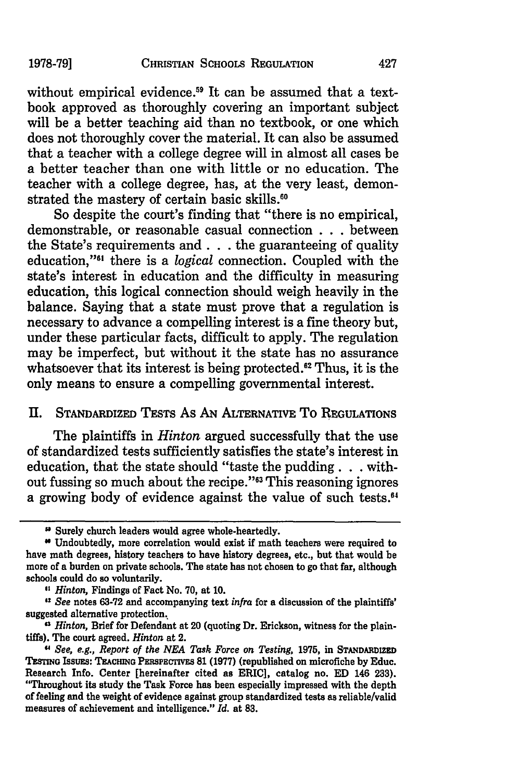without empirical evidence.<sup>59</sup> It can be assumed that a textbook approved as thoroughly covering an important subject will be a better teaching aid than no textbook, or one which does not thoroughly cover the material. It can also be assumed that a teacher with a college degree will in almost all cases be a better teacher than one with little or no education. The teacher with a college degree, has, at the very least, demonstrated the mastery of certain basic skills.<sup>60</sup>

So despite the court's finding that "there is no empirical, demonstrable, or reasonable casual connection . . . between the State's requirements and. **. .** the guaranteeing of quality education,"<sup>61</sup> there is a *logical* connection. Coupled with the state's interest in education and the difficulty in measuring education, this logical connection should weigh heavily in the balance. Saying that a state must prove that a regulation is necessary to advance a compelling interest is a fine theory but, under these particular facts, difficult to apply. The regulation may be imperfect, but without it the state has no assurance whatsoever that its interest is being protected.<sup>62</sup> Thus, it is the only means to ensure a compelling governmental interest.

### **11.** STANDARDIZED TESTS As AN ALTERNATIVE To **REGULATIONS**

The plaintiffs in *Hinton* argued successfully that the use of standardized tests sufficiently satisfies the state's interest in education, that the state should "taste the pudding. **. .** without fussing so much about the recipe."<sup>63</sup> This reasoning ignores a growing body of evidence against the value of such tests.<sup>64</sup>

<sup>&</sup>lt;sup>5</sup> Surely church leaders would agree whole-heartedly.

**<sup>0</sup>** Undoubtedly, more correlation would exist if math teachers were required to have math degrees, history teachers to have history degrees, etc., but that would be more of a burden on private schools. The state has not chosen to go that far, although schools could do so voluntarily.

*<sup>&</sup>quot; Hinton,* Findings of Fact No. **70,** at **10.**

*<sup>&</sup>quot;See* notes **63-72** and accompanying text *infra* for a discussion of the plaintiffs' suggested alternative protection.

*<sup>&</sup>quot;3 Hinton,* Brief for Defendant at 20 (quoting Dr. Erickson, witness for the plaintiffs). The court agreed. *Hinton* at 2.

*<sup>&</sup>quot; See, e.g., Report of the NEA Task Force on Testing,* **1975,** in **STANDARDIZED TESTING ISSUES: TEACHING PERSPECTIVES 81 (1977) (republished on microfiche by Educ.** Research Info. Center [hereinafter cited as ERIC], catalog no. **ED** 146 **233).** "Throughout its study the Task Force has been especially impressed with the depth of feeling and the weight of evidence against group standardized tests as reliable/valid measures of achievement and intelligence." *Id.* at **83.**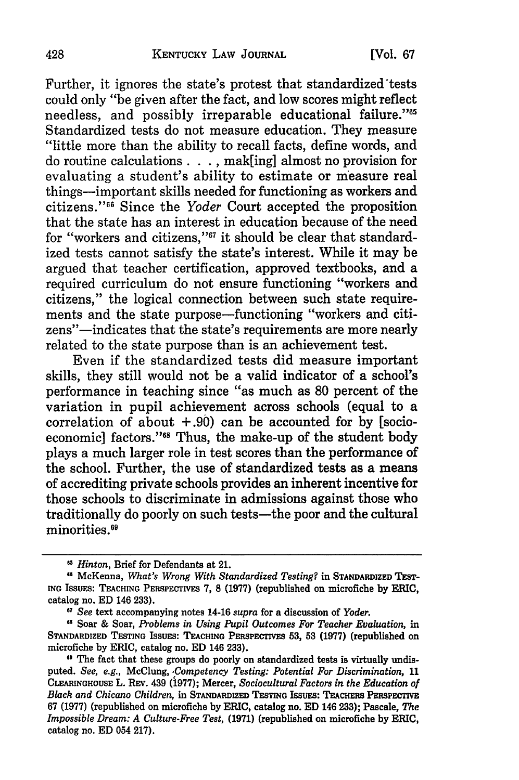#### KENTUCKY LAW JOURNAL

Further, it ignores the state's protest that standardized'tests could only "be given after the fact, and low scores might reflect needless, and possibly irreparable educational failure."<sup>65</sup> Standardized tests do not measure education. They measure "little more than the ability to recall facts, define words, and do routine calculations. **. .,** mak[ing] almost no provision for evaluating a student's ability to estimate or measure real things-important skills needed for functioning as workers and citizens." 6 Since the *Yoder* Court accepted the proposition that the state has an interest in education because of the need for "workers and citizens,"67 it should be clear that standardized tests cannot satisfy the state's interest. While it may be argued that teacher certification, approved textbooks, and a required curriculum do not ensure functioning "workers and citizens," the logical connection between such state requirements and the state purpose-functioning "workers and citizens"-indicates that the state's requirements are more nearly related to the state purpose than is an achievement test.

Even if the standardized tests did measure important skills, they still would not be a valid indicator of a school's performance in teaching since "as much as 80 percent of the variation in pupil achievement across schools (equal to a correlation of about  $+0.90$  can be accounted for by [socioeconomic] factors."<sup>68</sup> Thus, the make-up of the student body plays a much larger role in test scores than the performance of the school. Further, the use of standardized tests as a means of accrediting private schools provides an inherent incentive for those schools to discriminate in admissions against those who traditionally do poorly on such tests-the poor and the cultural minorities.<sup>69</sup>

**<sup>1</sup>** *Hinton,* Brief for Defendants at 21.

<sup>&</sup>lt;sup>45</sup> McKenna, *What's Wrong With Standardized Testing?* in STANDARDIZED TEST-**ING ISSUES: TEACHING** PERSPECTivEs **7, 8 (1977)** (republished on microfiche by ERIC, catalog no. ED 146 **233).**

*o, See* text accompanying notes 14-16 *supra* for a discussion of *Yoder.*

<sup>&</sup>quot; Soar & Soar, *Problems in Using Pupil Outcomes For Teacher Evaluation,* in STANDARDIZED TESTING ISSUES: TEACHING PERSPECTIVES 53, 53 (1977) (republished on microfiche **by** ERIC, catalog no. **ED** 146 **233).**

<sup>&</sup>lt;sup>1</sup> The fact that these groups do poorly on standardized tests is virtually undisputed. *See, e.g.,* McClung, *,Competency Testing: Potential For Discrimination,* **11 CLEARINGHOUSE** L. **REV.** 439 **(1977);** Mercer, *Sociocultural Factors in the Education of* **Black and Chicano Children, in STANDARDIZED TESTING ISSUES: TEACHERS PERSPECTIVE 67 (1977) (republished on microfiche by** ERIC, **catalog no. ED** 146 **233); Pascale,** *The Impossible Dream: A Culture-Free Test,* **(1971) (republished on microfiche by** ERIC, **catalog no. ED** 054 **217).**